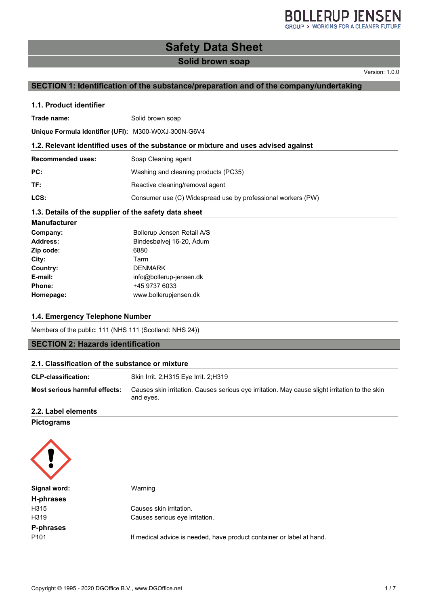## **BOLLERUP JENSEN**

**Safety Data Sheet**

#### **Solid brown soap**

Version: 1.0.0

#### **SECTION 1: Identification of the substance/preparation and of the company/undertaking**

#### **1.1. Product identifier**

| Trade name: | Solid brown soap |
|-------------|------------------|
|             |                  |

**Unique Formula Identifier (UFI):** M300-W0XJ-300N-G6V4

#### **1.2. Relevant identified uses of the substance or mixture and uses advised against**

| <b>Recommended uses:</b> | Soap Cleaning agent |
|--------------------------|---------------------|
|                          |                     |

**PC:** Washing and cleaning products (PC35)

**TF:** Reactive cleaning/removal agent

**LCS:** Consumer use (C) Widespread use by professional workers (PW)

#### **1.3. Details of the supplier of the safety data sheet**

| <b>Manufacturer</b> |                            |
|---------------------|----------------------------|
| Company:            | Bollerup Jensen Retail A/S |
| Address:            | Bindesbølvej 16-20, Ådum   |
| Zip code:           | 6880                       |
| City:               | Tarm                       |
| Country:            | <b>DENMARK</b>             |
| E-mail:             | info@bollerup-jensen.dk    |
| Phone:              | +45 9737 6033              |
| Homepage:           | www.bollerupjensen.dk      |

#### **1.4. Emergency Telephone Number**

Members of the public: 111 (NHS 111 (Scotland: NHS 24))

#### **SECTION 2: Hazards identification**

#### **2.1. Classification of the substance or mixture**

| <b>CLP-classification:</b>    | Skin Irrit. 2;H315 Eye Irrit. 2;H319                                                                        |
|-------------------------------|-------------------------------------------------------------------------------------------------------------|
| Most serious harmful effects: | Causes skin irritation. Causes serious eye irritation. May cause slight irritation to the skin<br>and eyes. |

#### **2.2. Label elements**

**Pictograms**

| Signal word:     | Warning                                                               |
|------------------|-----------------------------------------------------------------------|
| <b>H-phrases</b> |                                                                       |
| H315             | Causes skin irritation.                                               |
| H319             | Causes serious eye irritation.                                        |
| P-phrases        |                                                                       |
| P101             | If medical advice is needed, have product container or label at hand. |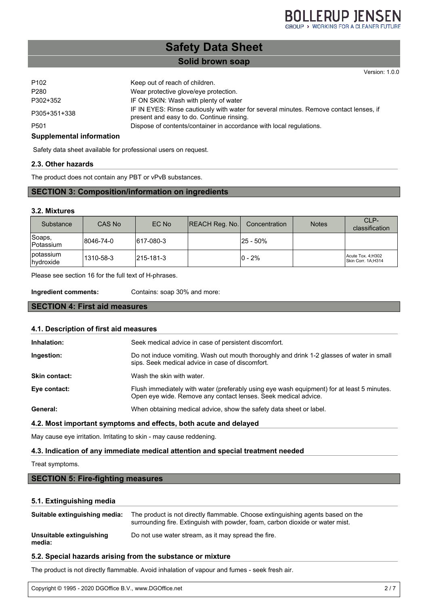Version: 1.0.0

## **Safety Data Sheet**

#### **Solid brown soap**

| P <sub>102</sub> | Keep out of reach of children.                                                                                                      |
|------------------|-------------------------------------------------------------------------------------------------------------------------------------|
| P280             | Wear protective glove/eye protection.                                                                                               |
| P302+352         | IF ON SKIN: Wash with plenty of water                                                                                               |
| P305+351+338     | IF IN EYES: Rinse cautiously with water for several minutes. Remove contact lenses, if<br>present and easy to do. Continue rinsing. |
| P501             | Dispose of contents/container in accordance with local regulations.                                                                 |

#### **Supplemental information**

Safety data sheet available for professional users on request.

#### **2.3. Other hazards**

The product does not contain any PBT or vPvB substances.

#### **SECTION 3: Composition/information on ingredients**

#### **3.2. Mixtures**

| Substance              | CAS No    | EC No     | <b>REACH Reg. No.</b> | Concentration | <b>Notes</b> | CLP-<br>classification                   |
|------------------------|-----------|-----------|-----------------------|---------------|--------------|------------------------------------------|
| Soaps,<br>Potassium    | 8046-74-0 | 617-080-3 |                       | l25 - 50%     |              |                                          |
| potassium<br>hydroxide | 1310-58-3 | 215-181-3 |                       | $0 - 2%$      |              | Acute Tox. 4; H302<br>Skin Corr. 1A:H314 |

Please see section 16 for the full text of H-phrases.

**Ingredient comments:** Contains: soap 30% and more:

#### **SECTION 4: First aid measures**

| 4.1. Description of first aid measures |                                                                                                                                                              |  |  |  |
|----------------------------------------|--------------------------------------------------------------------------------------------------------------------------------------------------------------|--|--|--|
| Inhalation:                            | Seek medical advice in case of persistent discomfort.                                                                                                        |  |  |  |
| Ingestion:                             | Do not induce vomiting. Wash out mouth thoroughly and drink 1-2 glasses of water in small<br>sips. Seek medical advice in case of discomfort.                |  |  |  |
| <b>Skin contact:</b>                   | Wash the skin with water.                                                                                                                                    |  |  |  |
| Eye contact:                           | Flush immediately with water (preferably using eye wash equipment) for at least 5 minutes.<br>Open eye wide. Remove any contact lenses. Seek medical advice. |  |  |  |
| General:                               | When obtaining medical advice, show the safety data sheet or label.                                                                                          |  |  |  |

#### **4.2. Most important symptoms and effects, both acute and delayed**

May cause eye irritation. Irritating to skin - may cause reddening.

#### **4.3. Indication of any immediate medical attention and special treatment needed**

#### Treat symptoms.

#### **SECTION 5: Fire-fighting measures**

#### **5.1. Extinguishing media**

| Suitable extinguishing media:      | The product is not directly flammable. Choose extinguishing agents based on the<br>surrounding fire. Extinguish with powder, foam, carbon dioxide or water mist. |
|------------------------------------|------------------------------------------------------------------------------------------------------------------------------------------------------------------|
| Unsuitable extinguishing<br>media: | Do not use water stream, as it may spread the fire.                                                                                                              |

#### **5.2. Special hazards arising from the substance or mixture**

The product is not directly flammable. Avoid inhalation of vapour and fumes - seek fresh air.

Copyright © 1995 - 2020 DGOffice B.V., www.DGOffice.net 2 / 7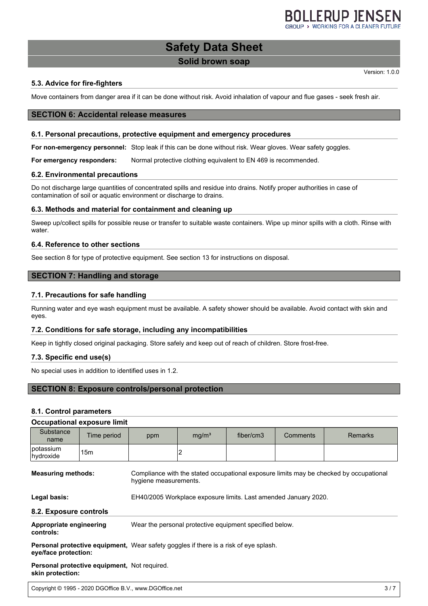### **Safety Data Sheet**

#### **Solid brown soap**

Version: 1.0.0

#### **5.3. Advice for fire-fighters**

Move containers from danger area if it can be done without risk. Avoid inhalation of vapour and flue gases - seek fresh air.

#### **SECTION 6: Accidental release measures**

#### **6.1. Personal precautions, protective equipment and emergency procedures**

**For non-emergency personnel:** Stop leak if this can be done without risk. Wear gloves. Wear safety goggles.

**For emergency responders:** Normal protective clothing equivalent to EN 469 is recommended.

#### **6.2. Environmental precautions**

Do not discharge large quantities of concentrated spills and residue into drains. Notify proper authorities in case of contamination of soil or aquatic environment or discharge to drains.

#### **6.3. Methods and material for containment and cleaning up**

Sweep up/collect spills for possible reuse or transfer to suitable waste containers. Wipe up minor spills with a cloth. Rinse with water.

#### **6.4. Reference to other sections**

See section 8 for type of protective equipment. See section 13 for instructions on disposal.

#### **SECTION 7: Handling and storage**

#### **7.1. Precautions for safe handling**

Running water and eye wash equipment must be available. A safety shower should be available. Avoid contact with skin and eyes.

#### **7.2. Conditions for safe storage, including any incompatibilities**

Keep in tightly closed original packaging. Store safely and keep out of reach of children. Store frost-free.

#### **7.3. Specific end use(s)**

No special uses in addition to identified uses in 1.2.

#### **SECTION 8: Exposure controls/personal protection**

#### **8.1. Control parameters**

#### **Occupational exposure limit**

| Substance<br>name                    | Time period                                  | ppm                                                                                                             | mg/m <sup>3</sup> | fiber/cm3 | Comments | <b>Remarks</b> |  |
|--------------------------------------|----------------------------------------------|-----------------------------------------------------------------------------------------------------------------|-------------------|-----------|----------|----------------|--|
| ∣potassium<br>hydroxide              | 15m                                          |                                                                                                                 |                   |           |          |                |  |
| <b>Measuring methods:</b>            |                                              | Compliance with the stated occupational exposure limits may be checked by occupational<br>hygiene measurements. |                   |           |          |                |  |
| Legal basis:                         |                                              | EH40/2005 Workplace exposure limits. Last amended January 2020.                                                 |                   |           |          |                |  |
| 8.2. Exposure controls               |                                              |                                                                                                                 |                   |           |          |                |  |
| Appropriate engineering<br>controls: |                                              | Wear the personal protective equipment specified below.                                                         |                   |           |          |                |  |
| eye/face protection:                 |                                              | <b>Personal protective equipment,</b> Wear safety goggles if there is a risk of eye splash.                     |                   |           |          |                |  |
| skin protection:                     | Personal protective equipment, Not required. |                                                                                                                 |                   |           |          |                |  |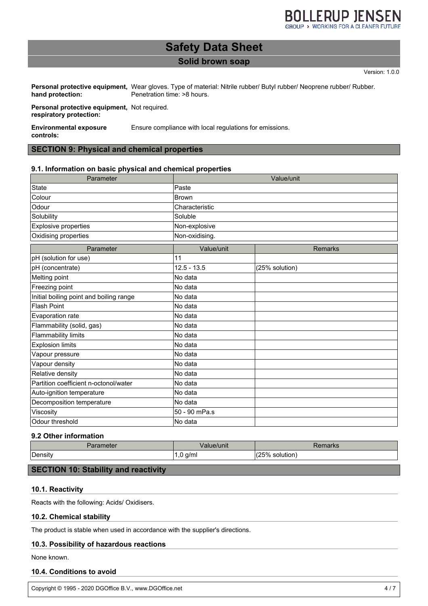### **Safety Data Sheet**

#### **Solid brown soap**

Version: 1.0.0

Personal protective equipment, Wear gloves. Type of material: Nitrile rubber/ Butyl rubber/ Neoprene rubber/ Rubber. **hand protection:** Penetration time: >8 hours.

**Personal protective equipment,** Not required. **respiratory protection:**

**Environmental exposure controls:** Ensure compliance with local regulations for emissions.

#### **SECTION 9: Physical and chemical properties**

#### **9.1. Information on basic physical and chemical properties**

| Parameter                               | Value/unit     |                |  |  |
|-----------------------------------------|----------------|----------------|--|--|
| <b>State</b>                            | Paste          |                |  |  |
| Colour                                  | <b>Brown</b>   |                |  |  |
| Odour                                   | Characteristic |                |  |  |
| Solubility                              | Soluble        |                |  |  |
| <b>Explosive properties</b>             | Non-explosive  |                |  |  |
| Oxidising properties                    | Non-oxidising. |                |  |  |
| Parameter                               | Value/unit     | <b>Remarks</b> |  |  |
| pH (solution for use)                   | 11             |                |  |  |
| pH (concentrate)                        | $12.5 - 13.5$  | (25% solution) |  |  |
| Melting point                           | No data        |                |  |  |
| Freezing point                          | No data        |                |  |  |
| Initial boiling point and boiling range | No data        |                |  |  |
| <b>Flash Point</b>                      | No data        |                |  |  |
| Evaporation rate                        | No data        |                |  |  |
| Flammability (solid, gas)               | No data        |                |  |  |
| <b>Flammability limits</b>              | No data        |                |  |  |
| <b>Explosion limits</b>                 | No data        |                |  |  |
| Vapour pressure                         | No data        |                |  |  |
| Vapour density                          | No data        |                |  |  |
| Relative density                        | No data        |                |  |  |
| Partition coefficient n-octonol/water   | No data        |                |  |  |
| Auto-ignition temperature               | No data        |                |  |  |
| Decomposition temperature               | No data        |                |  |  |
| Viscosity                               | 50 - 90 mPa.s  |                |  |  |
| Odour threshold                         | No data        |                |  |  |

#### **9.2 Other information**

| 'arameter    | Value/unit           | 76111 di NS      |
|--------------|----------------------|------------------|
| -<br>√Densit | q/ml<br>$\cdot$<br>ີ | ハワド<br>solution. |

#### **SECTION 10: Stability and reactivity**

#### **10.1. Reactivity**

Reacts with the following: Acids/ Oxidisers.

#### **10.2. Chemical stability**

The product is stable when used in accordance with the supplier's directions.

#### **10.3. Possibility of hazardous reactions**

None known.

#### **10.4. Conditions to avoid**

Copyright © 1995 - 2020 DGOffice B.V., www.DGOffice.net 4 / 7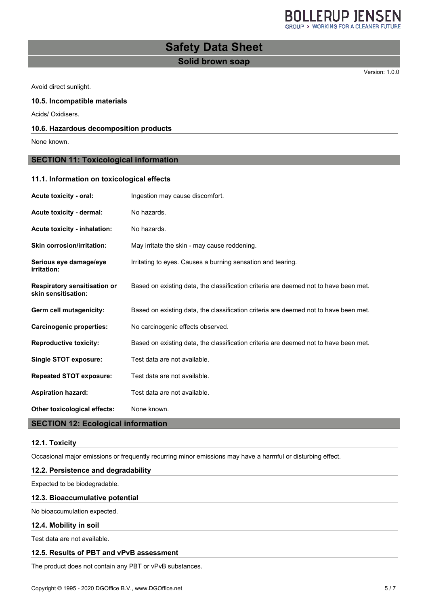**BOLLERUP JENSEN** 

## **Safety Data Sheet**

#### **Solid brown soap**

Version: 1.0.0

Avoid direct sunlight.

#### **10.5. Incompatible materials**

Acids/ Oxidisers.

#### **10.6. Hazardous decomposition products**

None known.

#### **SECTION 11: Toxicological information**

### **11.1. Information on toxicological effects Acute toxicity - oral:** Ingestion may cause discomfort. Acute toxicity - dermal: No hazards. Acute toxicity - inhalation: No hazards. **Skin corrosion/irritation:** May irritate the skin - may cause reddening. **Serious eye damage/eye irritation:** Irritating to eyes. Causes a burning sensation and tearing. **Respiratory sensitisation or skin sensitisation:** Based on existing data, the classification criteria are deemed not to have been met. **Germ cell mutagenicity:** Based on existing data, the classification criteria are deemed not to have been met. **Carcinogenic properties:** No carcinogenic effects observed.

**Reproductive toxicity:** Based on existing data, the classification criteria are deemed not to have been met.

**Single STOT exposure:** Test data are not available.

**Repeated STOT exposure:** Test data are not available.

**Aspiration hazard:** Test data are not available.

**Other toxicological effects:** None known.

#### **SECTION 12: Ecological information**

#### **12.1. Toxicity**

Occasional major emissions or frequently recurring minor emissions may have a harmful or disturbing effect.

#### **12.2. Persistence and degradability**

Expected to be biodegradable.

#### **12.3. Bioaccumulative potential**

No bioaccumulation expected.

#### **12.4. Mobility in soil**

Test data are not available.

#### **12.5. Results of PBT and vPvB assessment**

The product does not contain any PBT or vPvB substances.

Copyright © 1995 - 2020 DGOffice B.V., www.DGOffice.net 5 / 7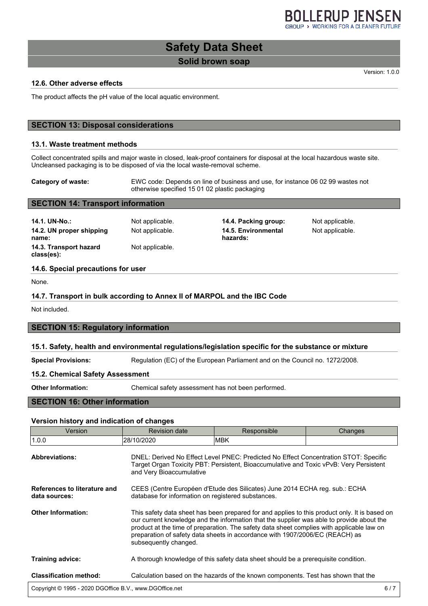## **Safety Data Sheet**

#### **Solid brown soap**

Version: 1.0.0

#### **12.6. Other adverse effects**

The product affects the pH value of the local aquatic environment.

#### **SECTION 13: Disposal considerations**

#### **13.1. Waste treatment methods**

Collect concentrated spills and major waste in closed, leak-proof containers for disposal at the local hazardous waste site. Uncleansed packaging is to be disposed of via the local waste-removal scheme.

**Category of waste:** EWC code: Depends on line of business and use, for instance 06 02 99 wastes not otherwise specified 15 01 02 plastic packaging

#### **SECTION 14: Transport information**

| 14.1. UN-No.:<br>14.2. UN proper shipping<br>name: | Not applicable.<br>Not applicable. | 14.4. Packing group:<br>14.5. Environmental<br>hazards: | Not applicable.<br>Not applicable. |
|----------------------------------------------------|------------------------------------|---------------------------------------------------------|------------------------------------|
| 14.3. Transport hazard<br>class(es):               | Not applicable.                    |                                                         |                                    |

#### **14.6. Special precautions for user**

None.

#### **14.7. Transport in bulk according to Annex II of MARPOL and the IBC Code**

Not included.

#### **SECTION 15: Regulatory information**

#### **15.1. Safety, health and environmental regulations/legislation specific for the substance or mixture**

**Special Provisions:** Regulation (EC) of the European Parliament and on the Council no. 1272/2008.

#### **15.2. Chemical Safety Assessment**

**Other Information:** Chemical safety assessment has not been performed.

#### **SECTION 16: Other information**

#### **Version history and indication of changes**

| Version                                                 | <b>Revision date</b>                                                                                                                                                                                                                                                                                                                                                                             | Responsible                                                                        | Changes |
|---------------------------------------------------------|--------------------------------------------------------------------------------------------------------------------------------------------------------------------------------------------------------------------------------------------------------------------------------------------------------------------------------------------------------------------------------------------------|------------------------------------------------------------------------------------|---------|
| 1.0.0                                                   | 28/10/2020                                                                                                                                                                                                                                                                                                                                                                                       | IMBK.                                                                              |         |
| <b>Abbreviations:</b>                                   | DNEL: Derived No Effect Level PNEC: Predicted No Effect Concentration STOT: Specific<br>Target Organ Toxicity PBT: Persistent, Bioaccumulative and Toxic vPvB: Very Persistent<br>and Very Bioaccumulative                                                                                                                                                                                       |                                                                                    |         |
| References to literature and<br>data sources:           | CEES (Centre Européen d'Etude des Silicates) June 2014 ECHA reg. sub.: ECHA<br>database for information on registered substances.                                                                                                                                                                                                                                                                |                                                                                    |         |
| <b>Other Information:</b>                               | This safety data sheet has been prepared for and applies to this product only. It is based on<br>our current knowledge and the information that the supplier was able to provide about the<br>product at the time of preparation. The safety data sheet complies with applicable law on<br>preparation of safety data sheets in accordance with 1907/2006/EC (REACH) as<br>subsequently changed. |                                                                                    |         |
| <b>Training advice:</b>                                 |                                                                                                                                                                                                                                                                                                                                                                                                  | A thorough knowledge of this safety data sheet should be a prerequisite condition. |         |
| <b>Classification method:</b>                           |                                                                                                                                                                                                                                                                                                                                                                                                  | Calculation based on the hazards of the known components. Test has shown that the  |         |
| Copyright © 1995 - 2020 DGOffice B.V., www.DGOffice.net |                                                                                                                                                                                                                                                                                                                                                                                                  |                                                                                    | 6/7     |